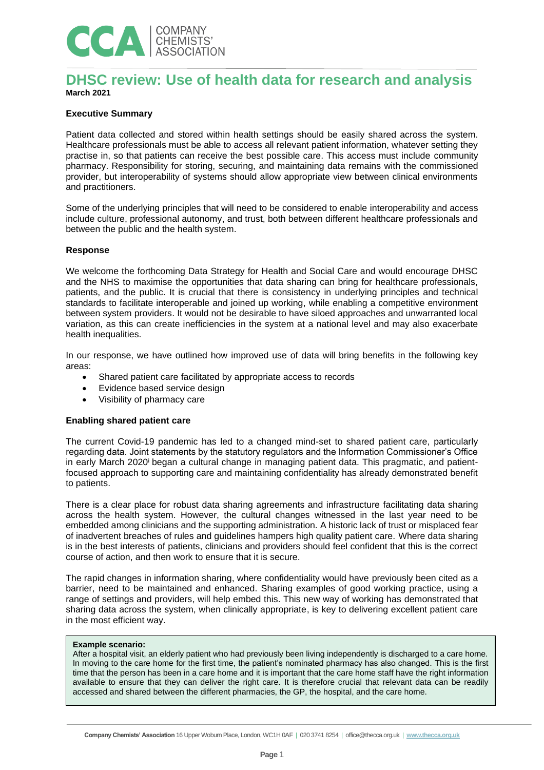

# **DHSC review: Use of health data for research and analysis March 2021**

## **Executive Summary**

Patient data collected and stored within health settings should be easily shared across the system. Healthcare professionals must be able to access all relevant patient information, whatever setting they practise in, so that patients can receive the best possible care. This access must include community pharmacy. Responsibility for storing, securing, and maintaining data remains with the commissioned provider, but interoperability of systems should allow appropriate view between clinical environments and practitioners.

Some of the underlying principles that will need to be considered to enable interoperability and access include culture, professional autonomy, and trust, both between different healthcare professionals and between the public and the health system.

#### **Response**

We welcome the forthcoming Data Strategy for Health and Social Care and would encourage DHSC and the NHS to maximise the opportunities that data sharing can bring for healthcare professionals, patients, and the public. It is crucial that there is consistency in underlying principles and technical standards to facilitate interoperable and joined up working, while enabling a competitive environment between system providers. It would not be desirable to have siloed approaches and unwarranted local variation, as this can create inefficiencies in the system at a national level and may also exacerbate health inequalities.

In our response, we have outlined how improved use of data will bring benefits in the following key areas:

- Shared patient care facilitated by appropriate access to records
- Evidence based service design
- Visibility of pharmacy care

#### **Enabling shared patient care**

The current Covid-19 pandemic has led to a changed mind-set to shared patient care, particularly regarding data. Joint statements by the statutory regulators and the Information Commissioner's Office in early March 2020<sup>i</sup> began a cultural change in managing patient data. This pragmatic, and patientfocused approach to supporting care and maintaining confidentiality has already demonstrated benefit to patients.

There is a clear place for robust data sharing agreements and infrastructure facilitating data sharing across the health system. However, the cultural changes witnessed in the last year need to be embedded among clinicians and the supporting administration. A historic lack of trust or misplaced fear of inadvertent breaches of rules and guidelines hampers high quality patient care. Where data sharing is in the best interests of patients, clinicians and providers should feel confident that this is the correct course of action, and then work to ensure that it is secure.

The rapid changes in information sharing, where confidentiality would have previously been cited as a barrier, need to be maintained and enhanced. Sharing examples of good working practice, using a range of settings and providers, will help embed this. This new way of working has demonstrated that sharing data across the system, when clinically appropriate, is key to delivering excellent patient care in the most efficient way.

### **Example scenario:**

After a hospital visit, an elderly patient who had previously been living independently is discharged to a care home. In moving to the care home for the first time, the patient's nominated pharmacy has also changed. This is the first time that the person has been in a care home and it is important that the care home staff have the right information available to ensure that they can deliver the right care. It is therefore crucial that relevant data can be readily accessed and shared between the different pharmacies, the GP, the hospital, and the care home.